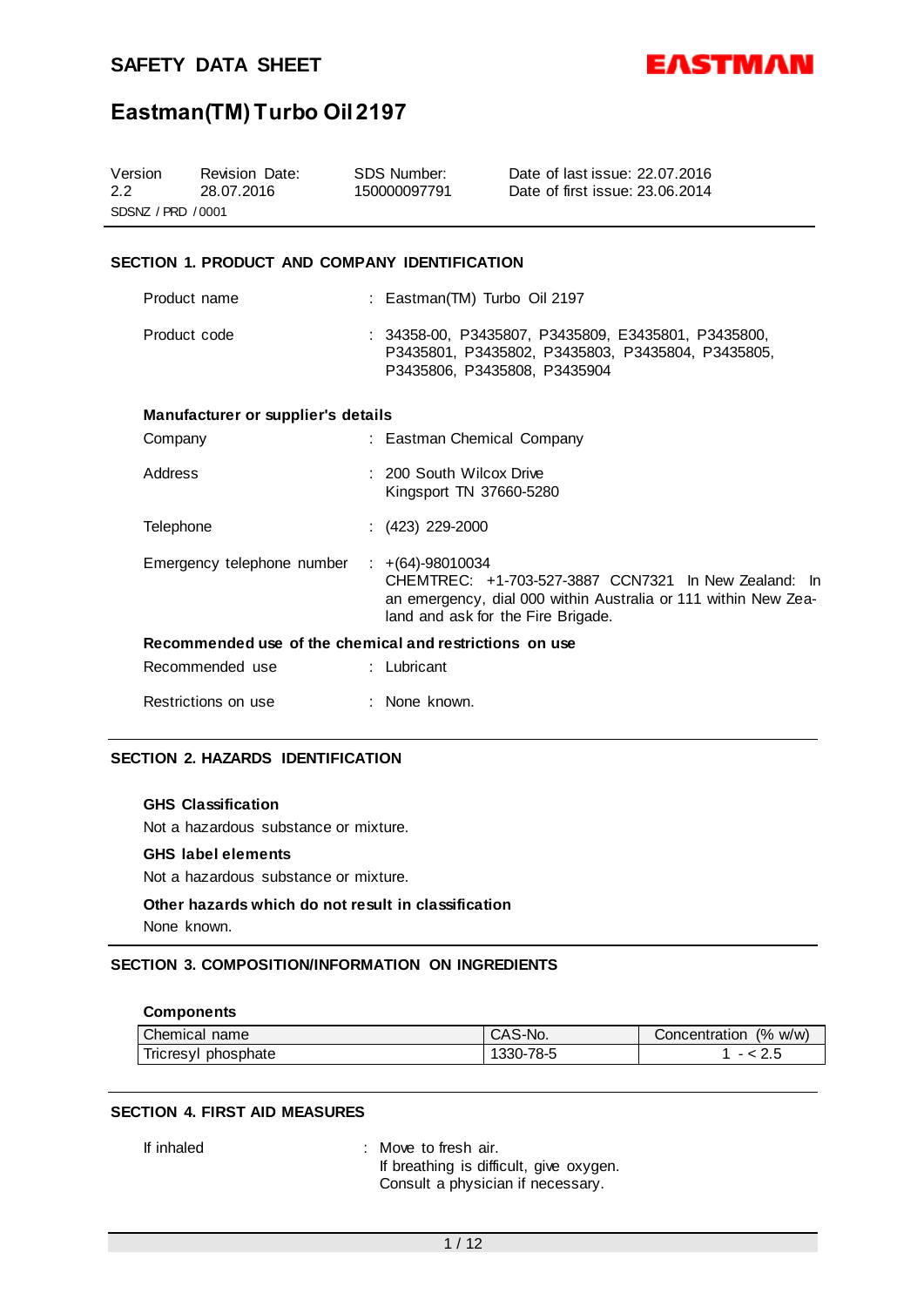

# **Eastman(TM) Turbo Oil 2197**

| Version<br>2.2<br>SDSNZ / PRD / 0001 | <b>Revision Date:</b><br>28.07.2016                     | <b>SDS Number:</b><br>150000097791                | Date of last issue: 22.07.2016<br>Date of first issue: 23.06.2014                                                                                            |
|--------------------------------------|---------------------------------------------------------|---------------------------------------------------|--------------------------------------------------------------------------------------------------------------------------------------------------------------|
|                                      | SECTION 1. PRODUCT AND COMPANY IDENTIFICATION           |                                                   |                                                                                                                                                              |
|                                      | Product name                                            |                                                   | : Eastman(TM) Turbo Oil 2197                                                                                                                                 |
| Product code                         |                                                         |                                                   | : 34358-00, P3435807, P3435809, E3435801, P3435800,<br>P3435801, P3435802, P3435803, P3435804, P3435805,<br>P3435806, P3435808, P3435904                     |
|                                      | Manufacturer or supplier's details                      |                                                   |                                                                                                                                                              |
| Company                              |                                                         |                                                   | : Eastman Chemical Company                                                                                                                                   |
| Address                              |                                                         | 200 South Wilcox Drive<br>Kingsport TN 37660-5280 |                                                                                                                                                              |
| Telephone                            |                                                         | $(423)$ 229-2000                                  |                                                                                                                                                              |
|                                      | Emergency telephone number                              | $\div$ +(64)-98010034                             | CHEMTREC: +1-703-527-3887 CCN7321 In New Zealand: In<br>an emergency, dial 000 within Australia or 111 within New Zea-<br>land and ask for the Fire Brigade. |
|                                      | Recommended use of the chemical and restrictions on use |                                                   |                                                                                                                                                              |
|                                      | Recommended use                                         | : Lubricant                                       |                                                                                                                                                              |
|                                      | Restrictions on use                                     | None known.                                       |                                                                                                                                                              |

# **SECTION 2. HAZARDS IDENTIFICATION**

## **GHS Classification**

Not a hazardous substance or mixture.

#### **GHS label elements**

Not a hazardous substance or mixture.

# **Other hazards which do not result in classification** None known.

# **SECTION 3. COMPOSITION/INFORMATION ON INGREDIENTS**

#### **Components**

| Chemical<br>name             | CAS-No.   | $\frac{10}{6}$<br>W/W)<br>Concentration |
|------------------------------|-----------|-----------------------------------------|
| <b>Incresyl</b><br>phosphate | 1330-78-5 | 2.J                                     |

## **SECTION 4. FIRST AID MEASURES**

If inhaled : Move to fresh air. If breathing is difficult, give oxygen. Consult a physician if necessary.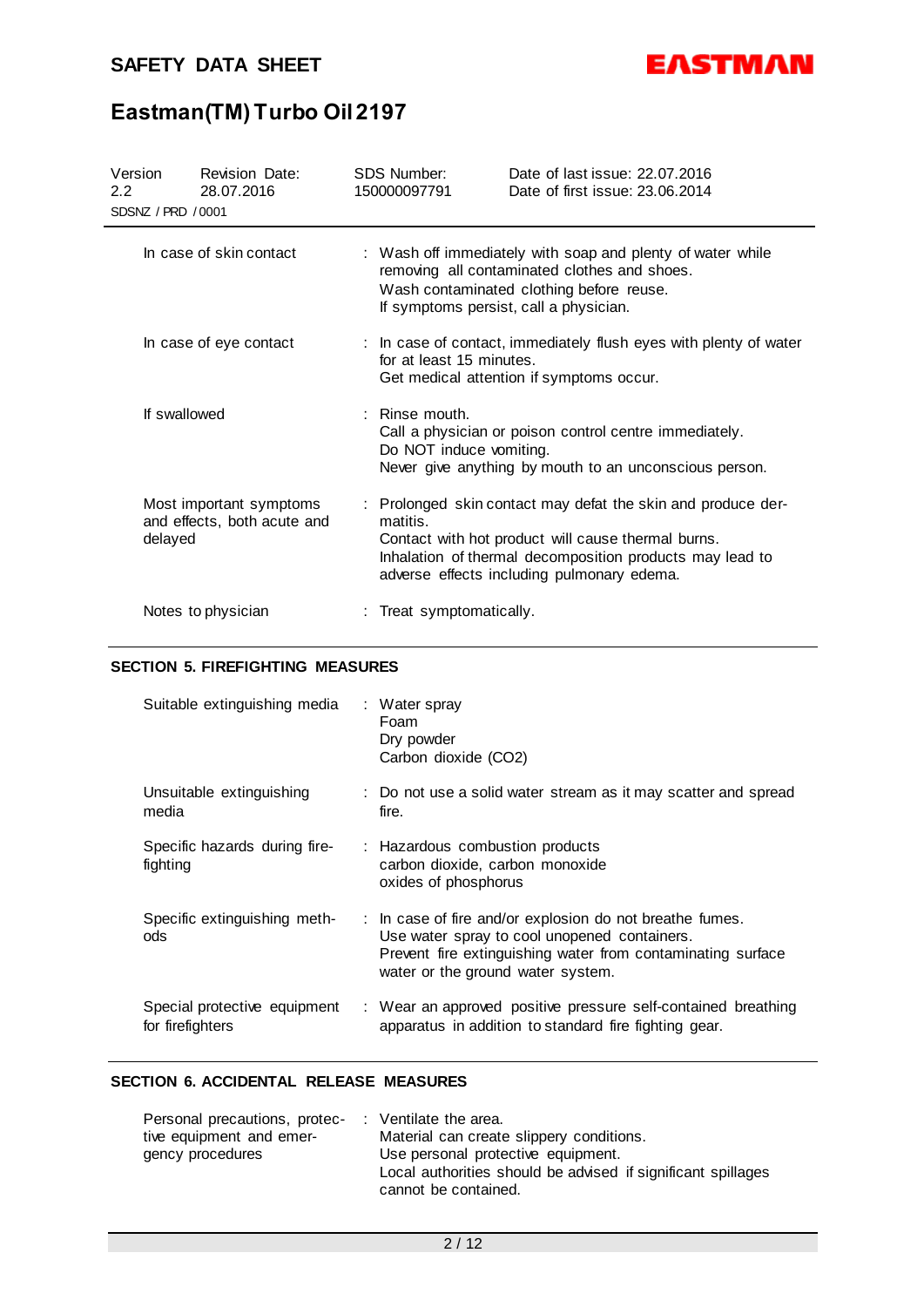

# **Eastman(TM) Turbo Oil 2197**

| Version<br>$2.2^{\circ}$<br>SDSNZ / PRD / 0001 | <b>Revision Date:</b><br>28.07.2016                    | SDS Number:<br>150000097791                 | Date of last issue: 22.07.2016<br>Date of first issue: 23.06.2014                                                                                                                                                            |
|------------------------------------------------|--------------------------------------------------------|---------------------------------------------|------------------------------------------------------------------------------------------------------------------------------------------------------------------------------------------------------------------------------|
|                                                | In case of skin contact                                | If symptoms persist, call a physician.      | : Wash off immediately with soap and plenty of water while<br>removing all contaminated clothes and shoes.<br>Wash contaminated clothing before reuse.                                                                       |
|                                                | In case of eye contact                                 | for at least 15 minutes.                    | : In case of contact, immediately flush eyes with plenty of water<br>Get medical attention if symptoms occur.                                                                                                                |
| If swallowed                                   |                                                        | $:$ Rinse mouth.<br>Do NOT induce vomiting. | Call a physician or poison control centre immediately.<br>Never give anything by mouth to an unconscious person.                                                                                                             |
| delayed                                        | Most important symptoms<br>and effects, both acute and | matitis.                                    | : Prolonged skin contact may defat the skin and produce der-<br>Contact with hot product will cause thermal burns.<br>Inhalation of thermal decomposition products may lead to<br>adverse effects including pulmonary edema. |
|                                                | Notes to physician                                     | : Treat symptomatically.                    |                                                                                                                                                                                                                              |

# **SECTION 5. FIREFIGHTING MEASURES**

| Suitable extinguishing media                     | : Water spray<br>Foam<br>Dry powder<br>Carbon dioxide (CO2)                                                                                                                                                  |
|--------------------------------------------------|--------------------------------------------------------------------------------------------------------------------------------------------------------------------------------------------------------------|
| Unsuitable extinguishing<br>media                | : Do not use a solid water stream as it may scatter and spread<br>fire.                                                                                                                                      |
| Specific hazards during fire-<br>fighting        | : Hazardous combustion products<br>carbon dioxide, carbon monoxide<br>oxides of phosphorus                                                                                                                   |
| Specific extinguishing meth-<br>ods              | : In case of fire and/or explosion do not breathe fumes.<br>Use water spray to cool unopened containers.<br>Prevent fire extinguishing water from contaminating surface<br>water or the ground water system. |
| Special protective equipment<br>for firefighters | : Wear an approved positive pressure self-contained breathing<br>apparatus in addition to standard fire fighting gear.                                                                                       |

# **SECTION 6. ACCIDENTAL RELEASE MEASURES**

| Personal precautions, protec- |  | : Ventilate the area.                                                                |
|-------------------------------|--|--------------------------------------------------------------------------------------|
| tive equipment and emer-      |  | Material can create slippery conditions.                                             |
| gency procedures              |  | Use personal protective equipment.                                                   |
|                               |  | Local authorities should be advised if significant spillages<br>cannot be contained. |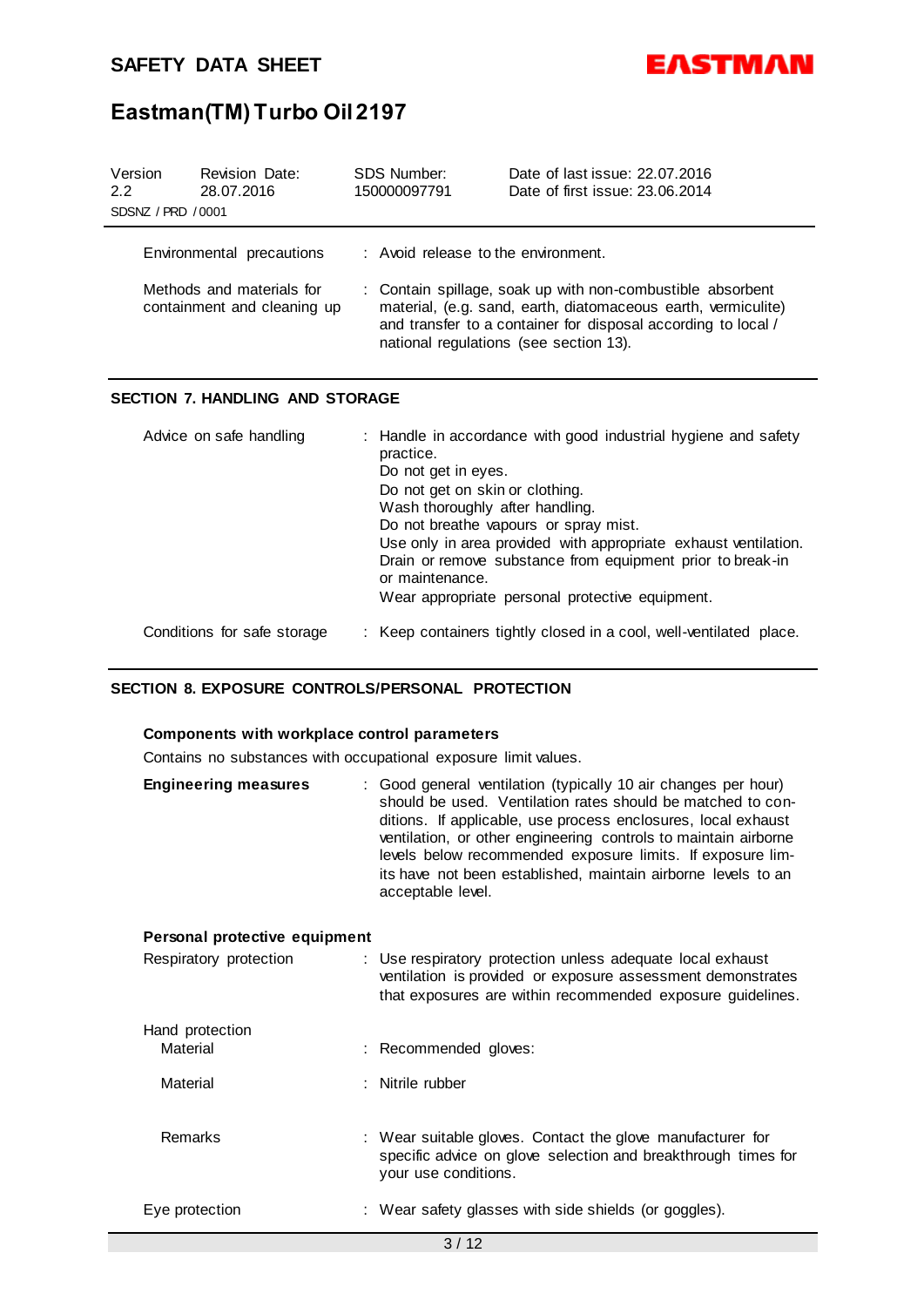

# **Eastman(TM) Turbo Oil 2197**

| Version<br>2.2<br>SDSNZ / PRD / 0001 | <b>Revision Date:</b><br>28.07.2016                                                   | SDS Number:<br>150000097791           | Date of last issue: 22.07.2016<br>Date of first issue: 23.06.2014                                                                                                                                                                      |
|--------------------------------------|---------------------------------------------------------------------------------------|---------------------------------------|----------------------------------------------------------------------------------------------------------------------------------------------------------------------------------------------------------------------------------------|
|                                      | Environmental precautions<br>Methods and materials for<br>containment and cleaning up | $:$ Avoid release to the environment. | : Contain spillage, soak up with non-combustible absorbent<br>material, (e.g. sand, earth, diatomaceous earth, vermiculite)<br>and transfer to a container for disposal according to local /<br>national regulations (see section 13). |

# **SECTION 7. HANDLING AND STORAGE**

| Advice on safe handling     | : Handle in accordance with good industrial hygiene and safety<br>practice.<br>Do not get in eyes.<br>Do not get on skin or clothing.<br>Wash thoroughly after handling.<br>Do not breathe vapours or spray mist.<br>Use only in area provided with appropriate exhaust ventilation.<br>Drain or remove substance from equipment prior to break-in<br>or maintenance.<br>Wear appropriate personal protective equipment. |
|-----------------------------|--------------------------------------------------------------------------------------------------------------------------------------------------------------------------------------------------------------------------------------------------------------------------------------------------------------------------------------------------------------------------------------------------------------------------|
| Conditions for safe storage | : Keep containers tightly closed in a cool, well-ventilated place.                                                                                                                                                                                                                                                                                                                                                       |

# **SECTION 8. EXPOSURE CONTROLS/PERSONAL PROTECTION**

# **Components with workplace control parameters**

Contains no substances with occupational exposure limit values.

| <b>Engineering measures</b> | : Good general ventilation (typically 10 air changes per hour)<br>should be used. Ventilation rates should be matched to con-<br>ditions. If applicable, use process enclosures, local exhaust<br>ventilation, or other engineering controls to maintain airborne<br>levels below recommended exposure limits. If exposure lim-<br>its have not been established, maintain airborne levels to an<br>acceptable level. |  |
|-----------------------------|-----------------------------------------------------------------------------------------------------------------------------------------------------------------------------------------------------------------------------------------------------------------------------------------------------------------------------------------------------------------------------------------------------------------------|--|
|                             |                                                                                                                                                                                                                                                                                                                                                                                                                       |  |

# **Personal protective equipment**

| Respiratory protection | : Use respiratory protection unless adequate local exhaust<br>ventilation is provided or exposure assessment demonstrates<br>that exposures are within recommended exposure guidelines. |
|------------------------|-----------------------------------------------------------------------------------------------------------------------------------------------------------------------------------------|
| Hand protection        |                                                                                                                                                                                         |
| Material               | : Recommended gloves:                                                                                                                                                                   |
| Material               | : Nitrile rubber                                                                                                                                                                        |
|                        |                                                                                                                                                                                         |
| <b>Remarks</b>         | : Wear suitable gloves. Contact the glove manufacturer for<br>specific advice on glove selection and breakthrough times for<br>your use conditions.                                     |
| Eye protection         | : Wear safety glasses with side shields (or goggles).                                                                                                                                   |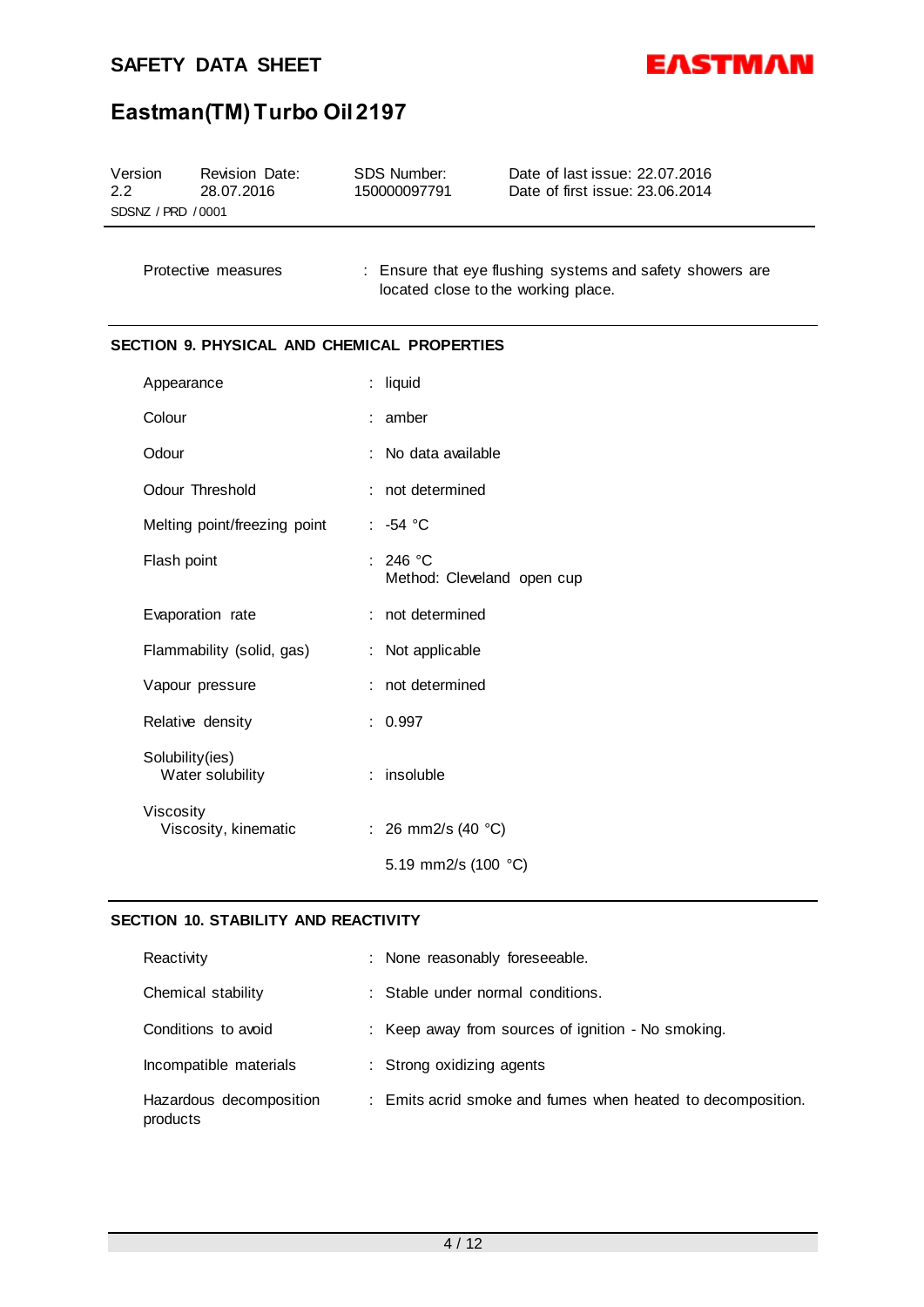$\overline{a}$ 



# **Eastman(TM) Turbo Oil 2197**

| Version            | <b>Revision Date:</b> | SDS Number:  | Date of last issue: 22.07.2016  |
|--------------------|-----------------------|--------------|---------------------------------|
| 2.2                | 28.07.2016            | 150000097791 | Date of first issue: 23.06.2014 |
| SDSNZ / PRD / 0001 |                       |              |                                 |

Protective measures : Ensure that eye flushing systems and safety showers are located close to the working place.

# **SECTION 9. PHYSICAL AND CHEMICAL PROPERTIES**

| Appearance                          | : liquid                               |
|-------------------------------------|----------------------------------------|
| Colour                              | : amber                                |
| Odour                               | : No data available                    |
| Odour Threshold                     | : not determined                       |
| Melting point/freezing point        | $: -54 °C$                             |
| Flash point                         | : 246 °C<br>Method: Cleveland open cup |
| Evaporation rate                    | : not determined                       |
| Flammability (solid, gas)           | : Not applicable                       |
| Vapour pressure                     | not determined                         |
| Relative density                    | : 0.997                                |
| Solubility(ies)<br>Water solubility | $:$ insoluble                          |
| Viscosity<br>Viscosity, kinematic   | : 26 mm2/s (40 $^{\circ}$ C)           |
|                                     | 5.19 mm2/s (100 °C)                    |

# **SECTION 10. STABILITY AND REACTIVITY**

| Reactivity                          | : None reasonably foreseeable.                              |
|-------------------------------------|-------------------------------------------------------------|
| Chemical stability                  | : Stable under normal conditions.                           |
| Conditions to avoid                 | : Keep away from sources of ignition - No smoking.          |
| Incompatible materials              | : Strong oxidizing agents                                   |
| Hazardous decomposition<br>products | : Emits acrid smoke and fumes when heated to decomposition. |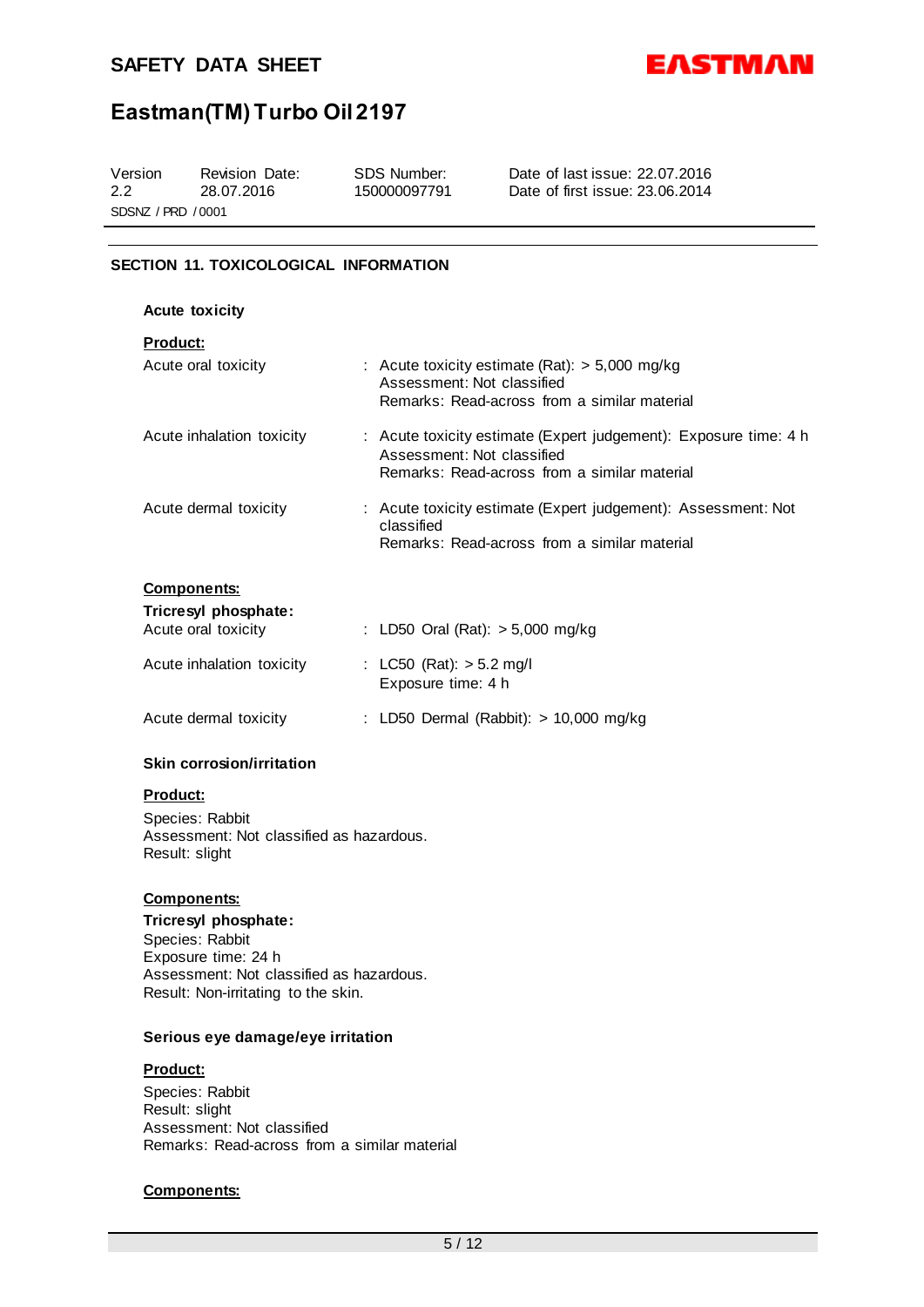

# **Eastman(TM) Turbo Oil 2197**

| Version            | Revision Date: | SDS Number:  | Date of last issue: 22.07.2016  |  |  |
|--------------------|----------------|--------------|---------------------------------|--|--|
| 2.2                | 28.07.2016     | 150000097791 | Date of first issue: 23.06.2014 |  |  |
| SDSNZ / PRD / 0001 |                |              |                                 |  |  |

# **SECTION 11. TOXICOLOGICAL INFORMATION**

| <b>Acute toxicity</b>                                             |                                                                                                                                                |
|-------------------------------------------------------------------|------------------------------------------------------------------------------------------------------------------------------------------------|
| <u>Product:</u><br>Acute oral toxicity                            | : Acute toxicity estimate (Rat): $> 5,000$ mg/kg<br>Assessment: Not classified<br>Remarks: Read-across from a similar material                 |
| Acute inhalation toxicity                                         | : Acute toxicity estimate (Expert judgement): Exposure time: 4 h<br>Assessment: Not classified<br>Remarks: Read-across from a similar material |
| Acute dermal toxicity                                             | : Acute toxicity estimate (Expert judgement): Assessment: Not<br>classified<br>Remarks: Read-across from a similar material                    |
| <b>Components:</b><br>Tricresyl phosphate:<br>Acute oral toxicity | : LD50 Oral (Rat): > 5,000 mg/kg                                                                                                               |
| Acute inhalation toxicity                                         | : LC50 (Rat): $>$ 5.2 mg/l<br>Exposure time: 4 h                                                                                               |
| Acute dermal toxicity                                             | : LD50 Dermal (Rabbit): > 10,000 mg/kg                                                                                                         |

# **Skin corrosion/irritation**

#### **Product:**

Species: Rabbit Assessment: Not classified as hazardous. Result: slight

## **Components:**

**Tricresyl phosphate:** Species: Rabbit Exposure time: 24 h Assessment: Not classified as hazardous. Result: Non-irritating to the skin.

#### **Serious eye damage/eye irritation**

## **Product:**

Species: Rabbit Result: slight Assessment: Not classified Remarks: Read-across from a similar material

#### **Components:**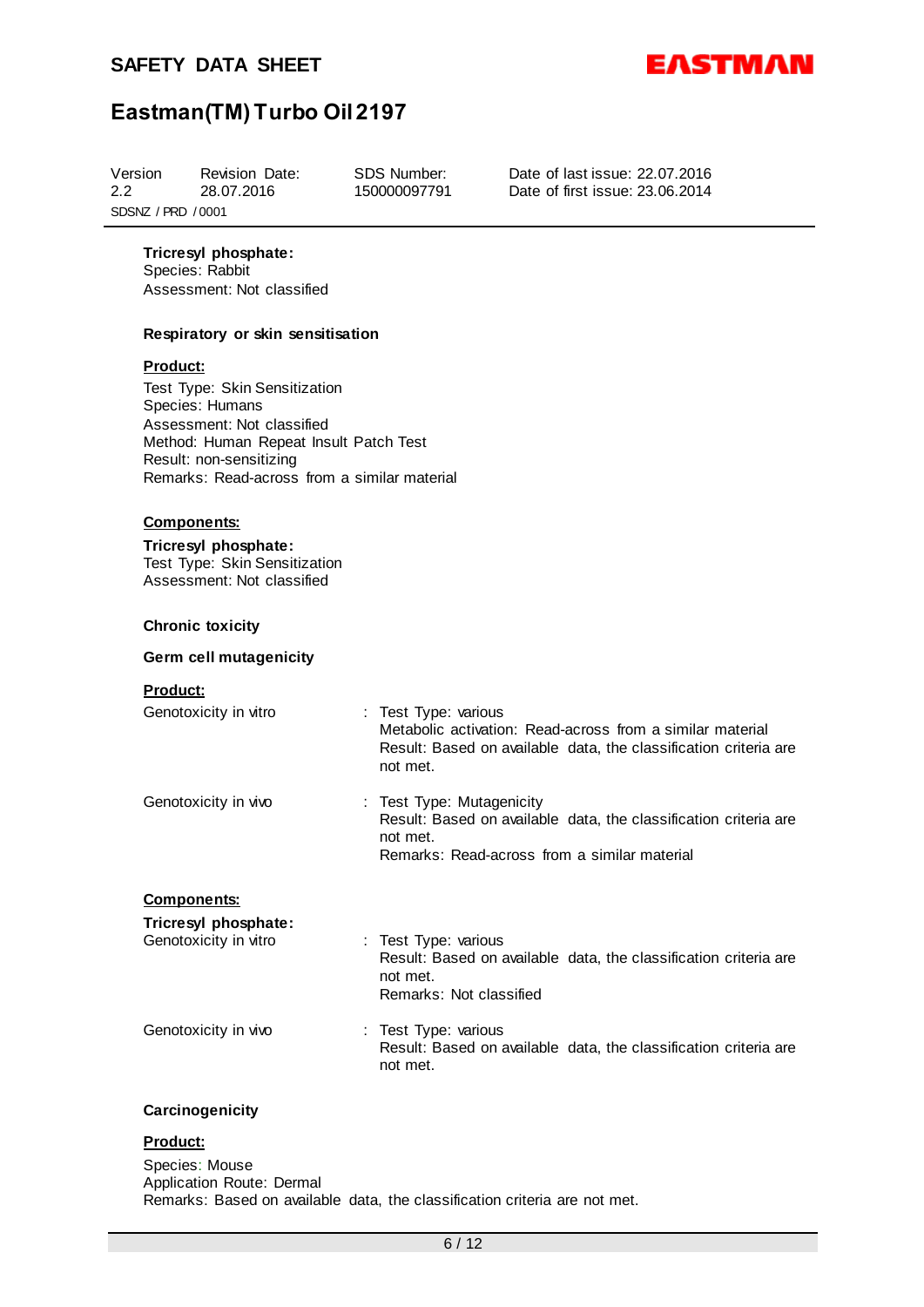

# **Eastman(TM) Turbo Oil 2197**

| Version<br>2.2     | <b>Revision Date:</b><br>28.07.2016 | SDS Number:<br>150000097791 | Date of last issue: 22.07.2016<br>Date of first issue: 23.06.2014 |  |  |
|--------------------|-------------------------------------|-----------------------------|-------------------------------------------------------------------|--|--|
| SDSNZ / PRD / 0001 |                                     |                             |                                                                   |  |  |
|                    |                                     |                             |                                                                   |  |  |

**Tricresyl phosphate:**

Species: Rabbit Assessment: Not classified

## **Respiratory or skin sensitisation**

#### **Product:**

Test Type: Skin Sensitization Species: Humans Assessment: Not classified Method: Human Repeat Insult Patch Test Result: non-sensitizing Remarks: Read-across from a similar material

## **Components:**

**Tricresyl phosphate:** Test Type: Skin Sensitization Assessment: Not classified

## **Chronic toxicity**

#### **Germ cell mutagenicity**

#### **Product:**

| Genotoxicity in vitro | : Test Type: various<br>Metabolic activation: Read-across from a similar material<br>Result: Based on available data, the classification criteria are<br>not met. |
|-----------------------|-------------------------------------------------------------------------------------------------------------------------------------------------------------------|
| Genotoxicity in vivo  | : Test Type: Mutagenicity<br>Result: Based on available data, the classification criteria are<br>not met.<br>Remarks: Read-across from a similar material         |
| <b>Components:</b>    |                                                                                                                                                                   |
| Tricresyl phosphate:  |                                                                                                                                                                   |

| Genotoxicity in vitro | : Test Type: various<br>Result: Based on available data, the classification criteria are<br>not met.<br>Remarks: Not classified |
|-----------------------|---------------------------------------------------------------------------------------------------------------------------------|
| Genotoxicity in vivo  | : Test Type: various<br>Result: Based on available data, the classification criteria are                                        |

## **Carcinogenicity**

# **Product:**

Species: Mouse Application Route: Dermal Remarks: Based on available data, the classification criteria are not met.

not met.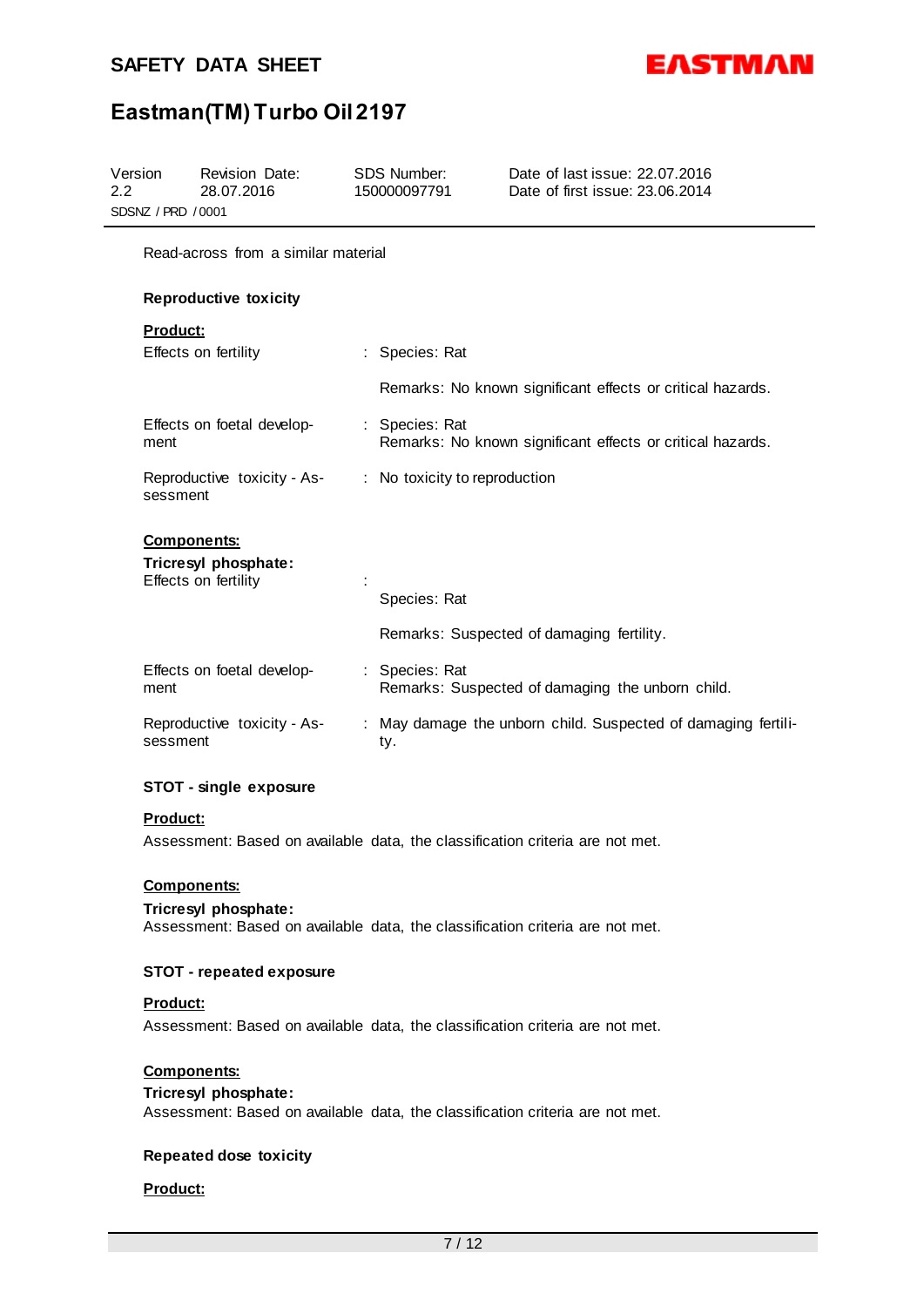

# **Eastman(TM) Turbo Oil 2197**

| Version<br>$2.2\,$<br>SDSNZ / PRD / 0001 | <b>Revision Date:</b><br>28.07.2016          | <b>SDS Number:</b><br>150000097791 | Date of last issue: 22.07.2016<br>Date of first issue: 23.06.2014 |
|------------------------------------------|----------------------------------------------|------------------------------------|-------------------------------------------------------------------|
|                                          | Read-across from a similar material          |                                    |                                                                   |
|                                          | <b>Reproductive toxicity</b>                 |                                    |                                                                   |
| <b>Product:</b>                          |                                              |                                    |                                                                   |
|                                          | Effects on fertility                         | : Species: Rat                     |                                                                   |
|                                          |                                              |                                    | Remarks: No known significant effects or critical hazards.        |
| ment                                     | Effects on foetal develop-                   | : Species: Rat                     | Remarks: No known significant effects or critical hazards.        |
| sessment                                 | Reproductive toxicity - As-                  | : No toxicity to reproduction      |                                                                   |
|                                          | <b>Components:</b>                           |                                    |                                                                   |
|                                          | Tricresyl phosphate:<br>Effects on fertility |                                    |                                                                   |
|                                          |                                              | Species: Rat                       |                                                                   |
|                                          |                                              |                                    | Remarks: Suspected of damaging fertility.                         |
| ment                                     | Effects on foetal develop-                   | : Species: Rat                     | Remarks: Suspected of damaging the unborn child.                  |
| sessment                                 | Reproductive toxicity - As-                  | ty.                                | : May damage the unborn child. Suspected of damaging fertili-     |

# **STOT - single exposure**

#### **Product:**

Assessment: Based on available data, the classification criteria are not met.

# **Components:**

#### **Tricresyl phosphate:**

Assessment: Based on available data, the classification criteria are not met.

#### **STOT - repeated exposure**

## **Product:**

Assessment: Based on available data, the classification criteria are not met.

# **Components:**

#### **Tricresyl phosphate:**

Assessment: Based on available data, the classification criteria are not met.

# **Repeated dose toxicity**

## **Product:**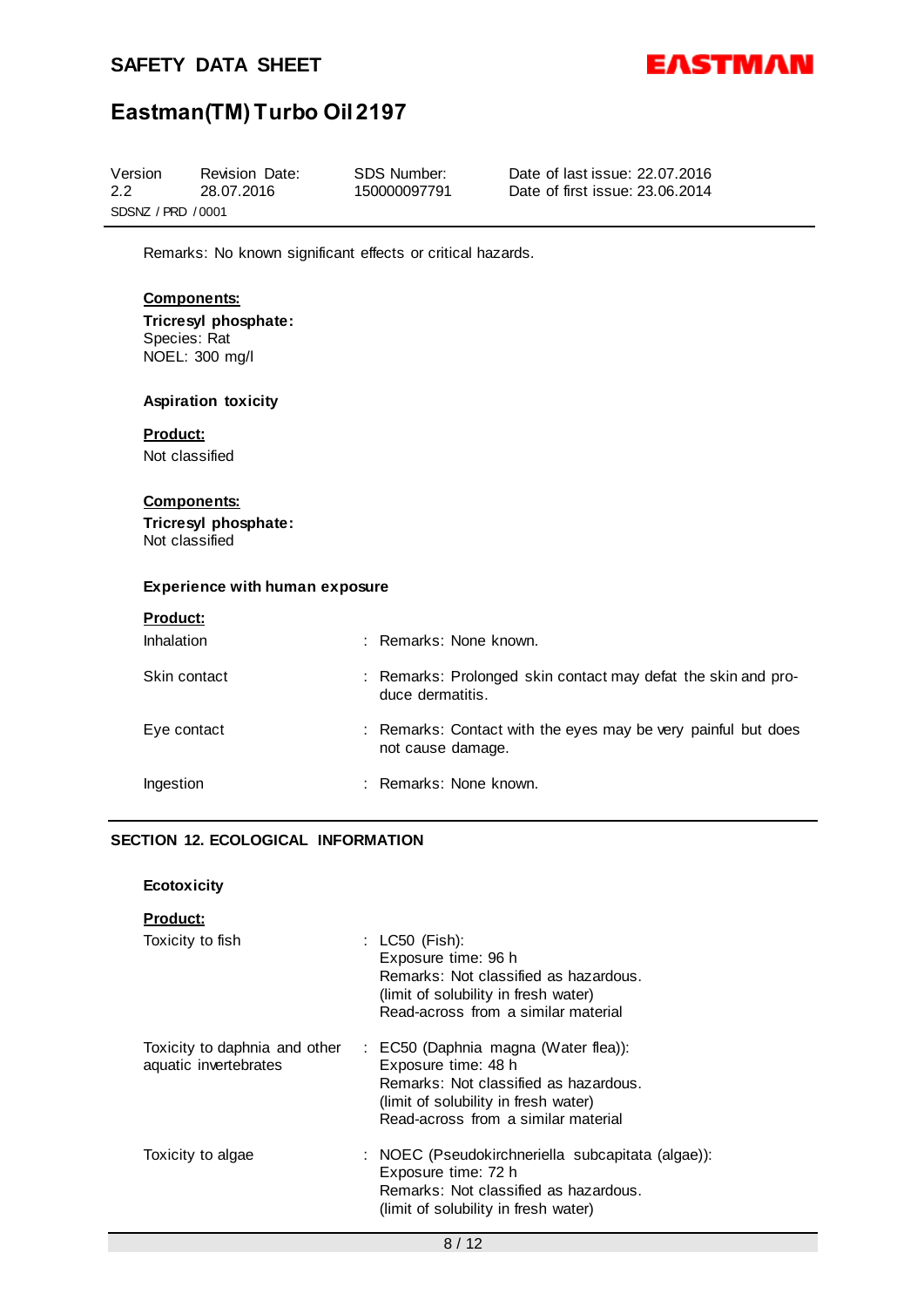

# **Eastman(TM) Turbo Oil 2197**

| Version            | Revision Date: | SDS Number:  | Date of last issue: 22.07.2016  |  |  |
|--------------------|----------------|--------------|---------------------------------|--|--|
| 2.2                | 28.07.2016     | 150000097791 | Date of first issue: 23.06.2014 |  |  |
| SDSNZ / PRD / 0001 |                |              |                                 |  |  |

Remarks: No known significant effects or critical hazards.

# **Components:**

**Tricresyl phosphate:** Species: Rat NOEL: 300 mg/l

## **Aspiration toxicity**

# **Product:**

Not classified

## **Components:**

**Tricresyl phosphate:** Not classified

#### **Experience with human exposure**

|--|

| <b>Inhalation</b> | : Remarks: None known.                                                             |
|-------------------|------------------------------------------------------------------------------------|
| Skin contact      | : Remarks: Prolonged skin contact may defat the skin and pro-<br>duce dermatitis.  |
| Eye contact       | : Remarks: Contact with the eyes may be very painful but does<br>not cause damage. |
| Ingestion         | : Remarks: None known.                                                             |

# **SECTION 12. ECOLOGICAL INFORMATION**

#### **Product:**

| Toxicity to fish                                       | : $LC50$ (Fish):<br>Exposure time: 96 h<br>Remarks: Not classified as hazardous.<br>(limit of solubility in fresh water)<br>Read-across from a similar material                     |
|--------------------------------------------------------|-------------------------------------------------------------------------------------------------------------------------------------------------------------------------------------|
| Toxicity to daphnia and other<br>aquatic invertebrates | : EC50 (Daphnia magna (Water flea)):<br>Exposure time: 48 h<br>Remarks: Not classified as hazardous.<br>(limit of solubility in fresh water)<br>Read-across from a similar material |
| Toxicity to algae                                      | : NOEC (Pseudokirchneriella subcapitata (algae)):<br>Exposure time: 72 h<br>Remarks: Not classified as hazardous.<br>(limit of solubility in fresh water)                           |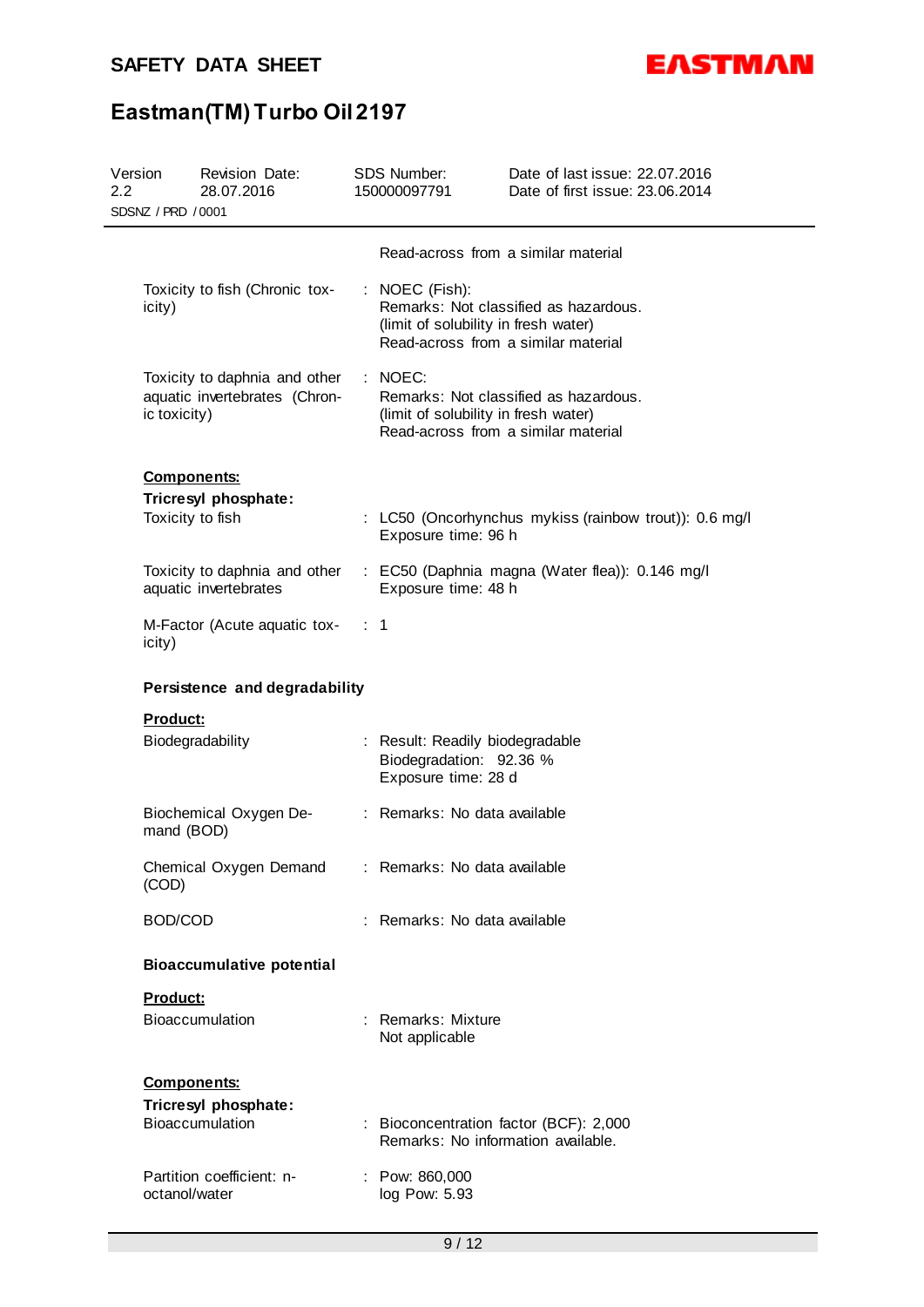

# **Eastman(TM) Turbo Oil 2197**

| Version<br>2.2 | SDSNZ / PRD / 0001 | Revision Date:<br>28.07.2016                                   | SDS Number:<br>150000097791                                                                       | Date of last issue: 22.07.2016<br>Date of first issue: 23.06.2014             |
|----------------|--------------------|----------------------------------------------------------------|---------------------------------------------------------------------------------------------------|-------------------------------------------------------------------------------|
|                |                    |                                                                | Read-across from a similar material                                                               |                                                                               |
|                | icity)             | Toxicity to fish (Chronic tox-                                 | : NOEC (Fish):<br>(limit of solubility in fresh water)<br>Read-across from a similar material     | Remarks: Not classified as hazardous.                                         |
|                | ic toxicity)       | Toxicity to daphnia and other<br>aquatic invertebrates (Chron- | $\therefore$ NOEC:<br>(limit of solubility in fresh water)<br>Read-across from a similar material | Remarks: Not classified as hazardous.                                         |
|                | <b>Components:</b> | Tricresyl phosphate:<br>Toxicity to fish                       | Exposure time: 96 h                                                                               | : LC50 (Oncorhynchus mykiss (rainbow trout)): 0.6 mg/l                        |
|                |                    | aquatic invertebrates                                          | Exposure time: 48 h                                                                               | Toxicity to daphnia and other : EC50 (Daphnia magna (Water flea)): 0.146 mg/l |
|                | icity)             | M-Factor (Acute aquatic tox- : 1                               |                                                                                                   |                                                                               |
|                |                    | Persistence and degradability                                  |                                                                                                   |                                                                               |
|                | <b>Product:</b>    | Biodegradability                                               | : Result: Readily biodegradable<br>Biodegradation: 92.36 %<br>Exposure time: 28 d                 |                                                                               |
|                | mand (BOD)         | Biochemical Oxygen De-                                         | : Remarks: No data available                                                                      |                                                                               |
|                | (COD)              | Chemical Oxygen Demand                                         | : Remarks: No data available                                                                      |                                                                               |
|                | BOD/COD            |                                                                | : Remarks: No data available                                                                      |                                                                               |
|                |                    | <b>Bioaccumulative potential</b>                               |                                                                                                   |                                                                               |
|                | Product:           |                                                                |                                                                                                   |                                                                               |
|                |                    | Bioaccumulation                                                | : Remarks: Mixture<br>Not applicable                                                              |                                                                               |
|                | <b>Components:</b> |                                                                |                                                                                                   |                                                                               |
|                |                    | Tricresyl phosphate:<br>Bioaccumulation                        | : Bioconcentration factor (BCF): 2,000<br>Remarks: No information available.                      |                                                                               |
|                | octanol/water      | Partition coefficient: n-                                      | : Pow: 860,000<br>log Pow: 5.93                                                                   |                                                                               |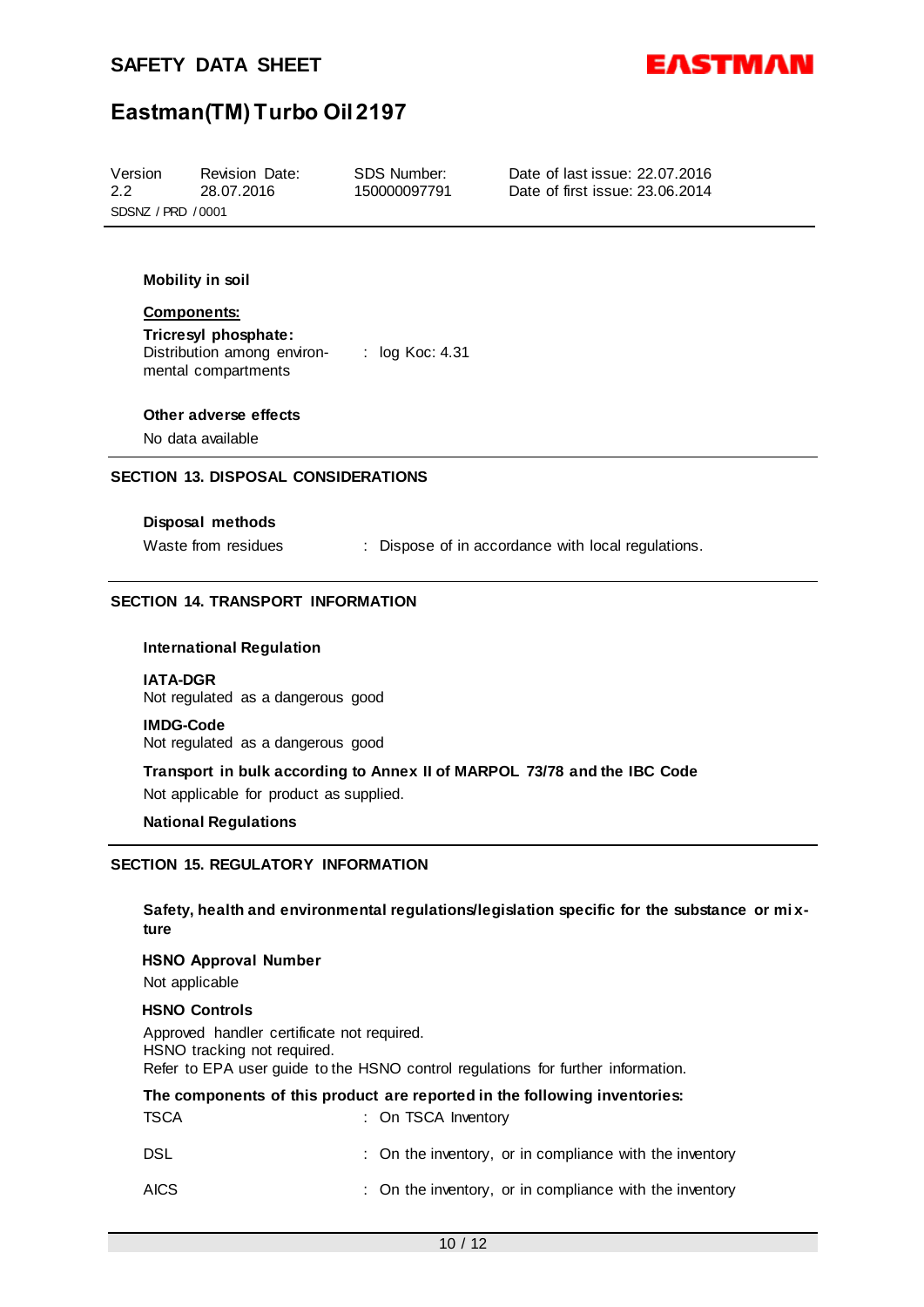



# **Eastman(TM) Turbo Oil 2197**

| Version            | Revision Date: | SDS Number:  | Date of last issue: 22.07.2016  |  |  |
|--------------------|----------------|--------------|---------------------------------|--|--|
| 2.2                | 28.07.2016     | 150000097791 | Date of first issue: 23.06.2014 |  |  |
| SDSNZ / PRD / 0001 |                |              |                                 |  |  |

# **Mobility in soil**

#### **Components:**

**Tricresyl phosphate:** Distribution among environ-: log Koc: 4.31 mental compartments

#### **Other adverse effects**

No data available

### **SECTION 13. DISPOSAL CONSIDERATIONS**

## **Disposal methods**

Waste from residues : Dispose of in accordance with local regulations.

## **SECTION 14. TRANSPORT INFORMATION**

#### **International Regulation**

#### **IATA-DGR**

Not regulated as a dangerous good

#### **IMDG-Code**

Not regulated as a dangerous good

**Transport in bulk according to Annex II of MARPOL 73/78 and the IBC Code** Not applicable for product as supplied.

#### **National Regulations**

# **SECTION 15. REGULATORY INFORMATION**

## **Safety, health and environmental regulations/legislation specific for the substance or mi xture**

#### **HSNO Approval Number**

Not applicable

#### **HSNO Controls**

Approved handler certificate not required. HSNO tracking not required. Refer to EPA user guide to the HSNO control regulations for further information.

|             | The components of this product are reported in the following inventories: |
|-------------|---------------------------------------------------------------------------|
| TSCA        | : On TSCA Inventory                                                       |
| DSL         | : On the inventory, or in compliance with the inventory                   |
| <b>AICS</b> | : On the inventory, or in compliance with the inventory                   |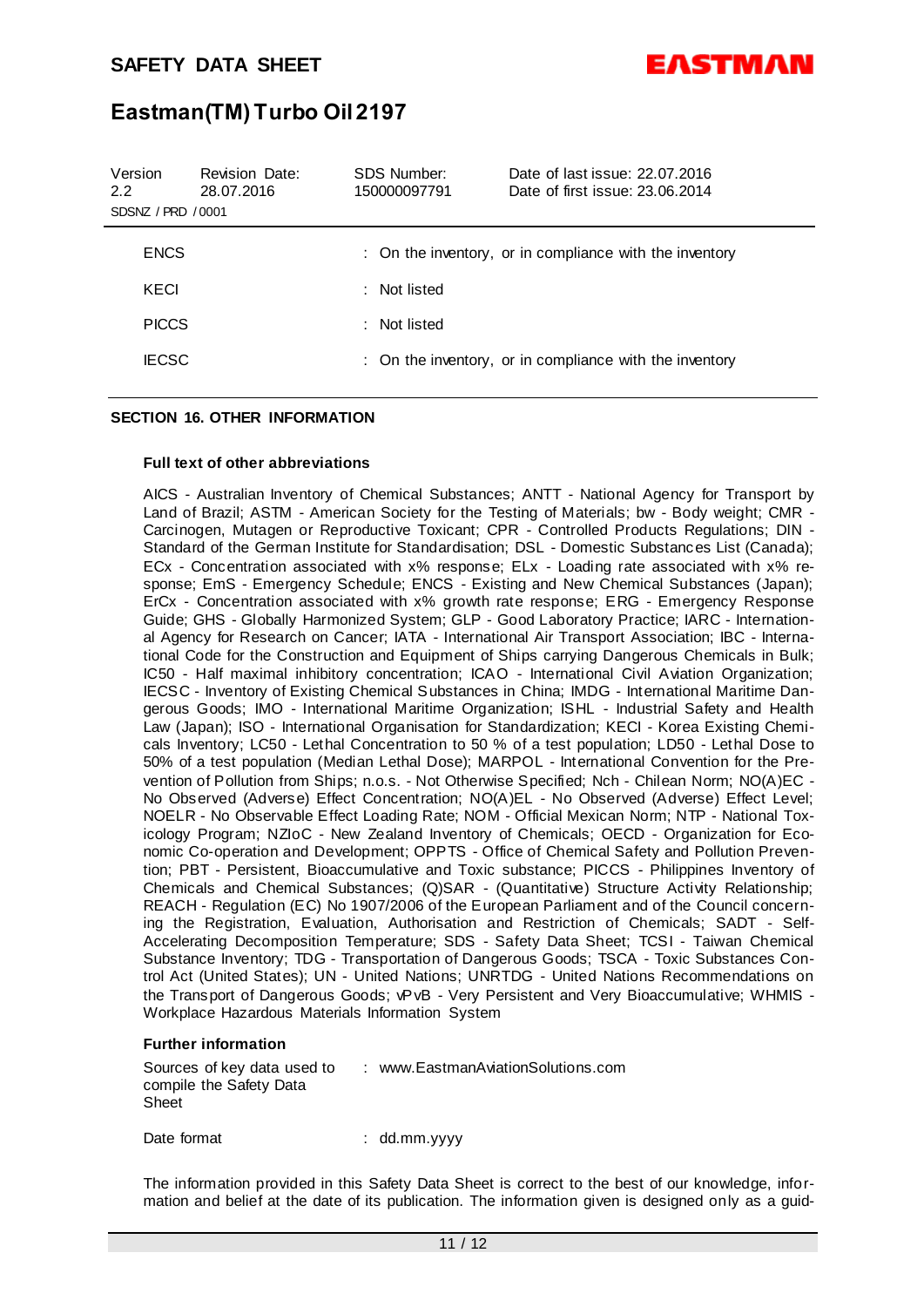

# **Eastman(TM) Turbo Oil 2197**

| Version<br>2.2<br>SDSNZ / PRD / 0001 | <b>Revision Date:</b><br>28.07.2016 | SDS Number:<br>150000097791 | Date of last issue: 22.07.2016<br>Date of first issue: 23.06.2014 |
|--------------------------------------|-------------------------------------|-----------------------------|-------------------------------------------------------------------|
| <b>ENCS</b>                          |                                     |                             | : On the inventory, or in compliance with the inventory           |
| KECI                                 |                                     | : Not listed                |                                                                   |
| <b>PICCS</b>                         |                                     | : Not listed                |                                                                   |
| <b>IECSC</b>                         |                                     |                             | : On the inventory, or in compliance with the inventory           |
|                                      |                                     |                             |                                                                   |

# **SECTION 16. OTHER INFORMATION**

#### **Full text of other abbreviations**

AICS - Australian Inventory of Chemical Substances; ANTT - National Agency for Transport by Land of Brazil; ASTM - American Society for the Testing of Materials; bw - Body weight; CMR - Carcinogen, Mutagen or Reproductive Toxicant; CPR - Controlled Products Regulations; DIN - Standard of the German Institute for Standardisation; DSL - Domestic Substances List (Canada); ECx - Concentration associated with x% response; ELx - Loading rate associated with x% response; EmS - Emergency Schedule; ENCS - Existing and New Chemical Substances (Japan); ErCx - Concentration associated with x% growth rate response; ERG - Emergency Response Guide; GHS - Globally Harmonized System; GLP - Good Laboratory Practice; IARC - International Agency for Research on Cancer; IATA - International Air Transport Association; IBC - International Code for the Construction and Equipment of Ships carrying Dangerous Chemicals in Bulk; IC50 - Half maximal inhibitory concentration; ICAO - International Civil Aviation Organization; IECSC - Inventory of Existing Chemical Substances in China; IMDG - International Maritime Dangerous Goods; IMO - International Maritime Organization; ISHL - Industrial Safety and Health Law (Japan); ISO - International Organisation for Standardization; KECI - Korea Existing Chemicals Inventory; LC50 - Lethal Concentration to 50 % of a test population; LD50 - Lethal Dose to 50% of a test population (Median Lethal Dose); MARPOL - International Convention for the Prevention of Pollution from Ships; n.o.s. - Not Otherwise Specified; Nch - Chilean Norm; NO(A)EC -No Observed (Adverse) Effect Concentration; NO(A)EL - No Observed (Adverse) Effect Level; NOELR - No Observable Effect Loading Rate; NOM - Official Mexican Norm; NTP - National Toxicology Program; NZIoC - New Zealand Inventory of Chemicals; OECD - Organization for Economic Co-operation and Development; OPPTS - Office of Chemical Safety and Pollution Prevention; PBT - Persistent, Bioaccumulative and Toxic substance; PICCS - Philippines Inventory of Chemicals and Chemical Substances; (Q)SAR - (Quantitative) Structure Activity Relationship; REACH - Regulation (EC) No 1907/2006 of the European Parliament and of the Council concerning the Registration, Evaluation, Authorisation and Restriction of Chemicals; SADT - Self-Accelerating Decomposition Temperature; SDS - Safety Data Sheet; TCSI - Taiwan Chemical Substance Inventory; TDG - Transportation of Dangerous Goods; TSCA - Toxic Substances Control Act (United States); UN - United Nations; UNRTDG - United Nations Recommendations on the Transport of Dangerous Goods; vPvB - Very Persistent and Very Bioaccumulative; WHMIS - Workplace Hazardous Materials Information System

#### **Further information**

Sources of key data used to compile the Safety Data Sheet : www.EastmanAviationSolutions.com

Date format : dd.mm.yyyy

The information provided in this Safety Data Sheet is correct to the best of our knowledge, information and belief at the date of its publication. The information given is designed only as a guid-